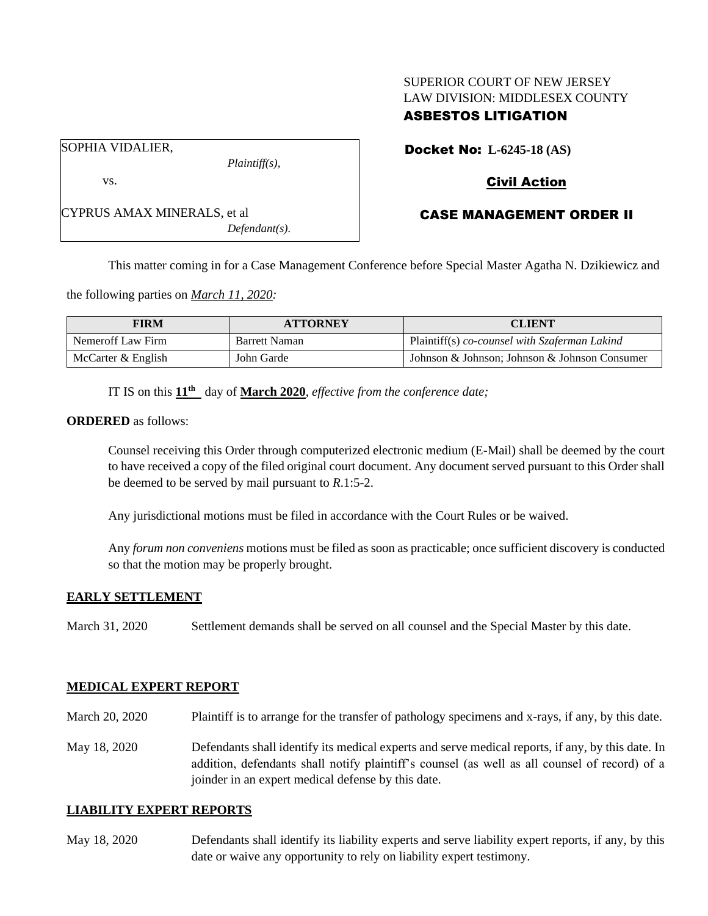# SUPERIOR COURT OF NEW JERSEY LAW DIVISION: MIDDLESEX COUNTY

# ASBESTOS LITIGATION

Docket No: **L-6245-18 (AS)**

SOPHIA VIDALIER,

vs.

*Plaintiff(s),*

# Civil Action

# CASE MANAGEMENT ORDER II

CYPRUS AMAX MINERALS, et al *Defendant(s).*

This matter coming in for a Case Management Conference before Special Master Agatha N. Dzikiewicz and

the following parties on *March 11, 2020:*

| <b>FIRM</b>        | <b>ATTORNEY</b> | <b>CLIENT</b>                                 |
|--------------------|-----------------|-----------------------------------------------|
| Nemeroff Law Firm  | Barrett Naman   | Plaintiff(s) co-counsel with Szaferman Lakind |
| McCarter & English | John Garde      | Johnson & Johnson; Johnson & Johnson Consumer |

IT IS on this  $11<sup>th</sup>$  day of **March 2020**, *effective from the conference date*;

**ORDERED** as follows:

Counsel receiving this Order through computerized electronic medium (E-Mail) shall be deemed by the court to have received a copy of the filed original court document. Any document served pursuant to this Order shall be deemed to be served by mail pursuant to *R*.1:5-2.

Any jurisdictional motions must be filed in accordance with the Court Rules or be waived.

Any *forum non conveniens* motions must be filed as soon as practicable; once sufficient discovery is conducted so that the motion may be properly brought.

## **EARLY SETTLEMENT**

March 31, 2020 Settlement demands shall be served on all counsel and the Special Master by this date.

## **MEDICAL EXPERT REPORT**

March 20, 2020 Plaintiff is to arrange for the transfer of pathology specimens and x-rays, if any, by this date.

May 18, 2020 Defendants shall identify its medical experts and serve medical reports, if any, by this date. In addition, defendants shall notify plaintiff's counsel (as well as all counsel of record) of a joinder in an expert medical defense by this date.

#### **LIABILITY EXPERT REPORTS**

May 18, 2020 Defendants shall identify its liability experts and serve liability expert reports, if any, by this date or waive any opportunity to rely on liability expert testimony.